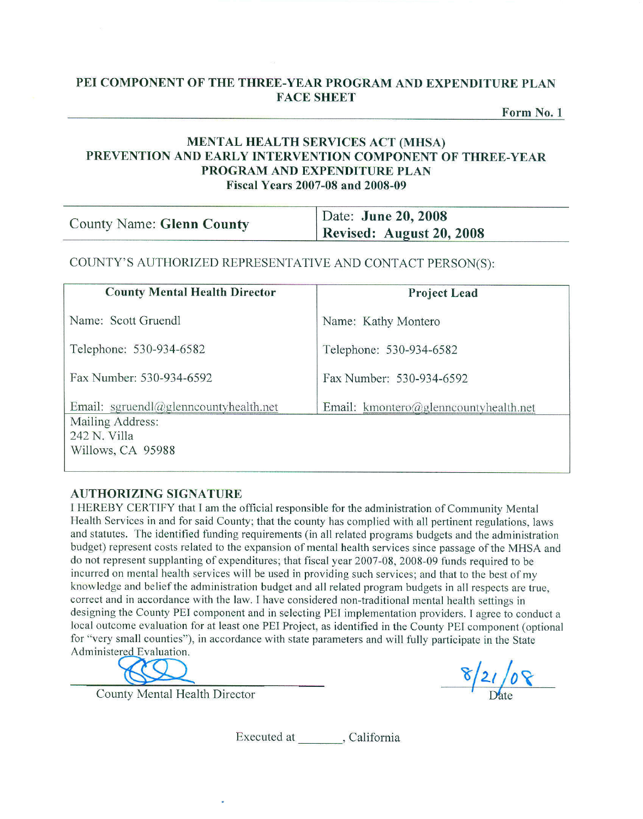## PEI COMPONENT OF THE THREE-YEAR PROGRAM AND EXPENDITURE PLAN **FACE SHEET**

Form No. 1

### **MENTAL HEALTH SERVICES ACT (MHSA)** PREVENTION AND EARLY INTERVENTION COMPONENT OF THREE-YEAR PROGRAM AND EXPENDITURE PLAN **Fiscal Years 2007-08 and 2008-09**

| <b>County Name: Glenn County</b> | Date: June 20, 2008             |
|----------------------------------|---------------------------------|
|                                  | <b>Revised: August 20, 2008</b> |

### COUNTY'S AUTHORIZED REPRESENTATIVE AND CONTACT PERSON(S):

| <b>County Mental Health Director</b>                                                           | <b>Project Lead</b>                   |
|------------------------------------------------------------------------------------------------|---------------------------------------|
| Name: Scott Gruendl                                                                            | Name: Kathy Montero                   |
| Telephone: 530-934-6582                                                                        | Telephone: 530-934-6582               |
| Fax Number: 530-934-6592                                                                       | Fax Number: 530-934-6592              |
| Email: sgruendl@glenncountyhealth.net<br>Mailing Address:<br>242 N. Villa<br>Willows, CA 95988 | Email: kmontero@glenncountyhealth.net |

#### **AUTHORIZING SIGNATURE**

I HEREBY CERTIFY that I am the official responsible for the administration of Community Mental Health Services in and for said County; that the county has complied with all pertinent regulations, laws and statutes. The identified funding requirements (in all related programs budgets and the administration budget) represent costs related to the expansion of mental health services since passage of the MHSA and do not represent supplanting of expenditures; that fiscal year 2007-08, 2008-09 funds required to be incurred on mental health services will be used in providing such services; and that to the best of my knowledge and belief the administration budget and all related program budgets in all respects are true. correct and in accordance with the law. I have considered non-traditional mental health settings in designing the County PEI component and in selecting PEI implementation providers. I agree to conduct a local outcome evaluation for at least one PEI Project, as identified in the County PEI component (optional for "very small counties"), in accordance with state parameters and will fully participate in the State Administered Evaluation.

 $8/21/08$ 

**County Mental Health Director** 

Executed at (California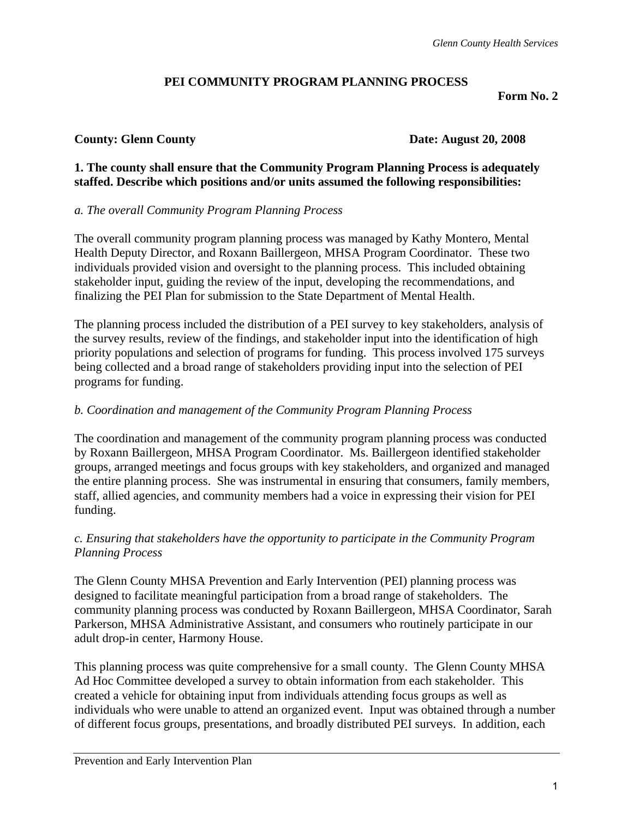## **PEI COMMUNITY PROGRAM PLANNING PROCESS**

**Form No. 2** 

## **County: Glenn County Date: August 20, 2008**

## **1. The county shall ensure that the Community Program Planning Process is adequately staffed. Describe which positions and/or units assumed the following responsibilities:**

## *a. The overall Community Program Planning Process*

The overall community program planning process was managed by Kathy Montero, Mental Health Deputy Director, and Roxann Baillergeon, MHSA Program Coordinator. These two individuals provided vision and oversight to the planning process. This included obtaining stakeholder input, guiding the review of the input, developing the recommendations, and finalizing the PEI Plan for submission to the State Department of Mental Health.

The planning process included the distribution of a PEI survey to key stakeholders, analysis of the survey results, review of the findings, and stakeholder input into the identification of high priority populations and selection of programs for funding. This process involved 175 surveys being collected and a broad range of stakeholders providing input into the selection of PEI programs for funding.

## *b. Coordination and management of the Community Program Planning Process*

The coordination and management of the community program planning process was conducted by Roxann Baillergeon, MHSA Program Coordinator. Ms. Baillergeon identified stakeholder groups, arranged meetings and focus groups with key stakeholders, and organized and managed the entire planning process. She was instrumental in ensuring that consumers, family members, staff, allied agencies, and community members had a voice in expressing their vision for PEI funding.

## *c. Ensuring that stakeholders have the opportunity to participate in the Community Program Planning Process*

The Glenn County MHSA Prevention and Early Intervention (PEI) planning process was designed to facilitate meaningful participation from a broad range of stakeholders. The community planning process was conducted by Roxann Baillergeon, MHSA Coordinator, Sarah Parkerson, MHSA Administrative Assistant, and consumers who routinely participate in our adult drop-in center, Harmony House.

This planning process was quite comprehensive for a small county. The Glenn County MHSA Ad Hoc Committee developed a survey to obtain information from each stakeholder. This created a vehicle for obtaining input from individuals attending focus groups as well as individuals who were unable to attend an organized event. Input was obtained through a number of different focus groups, presentations, and broadly distributed PEI surveys. In addition, each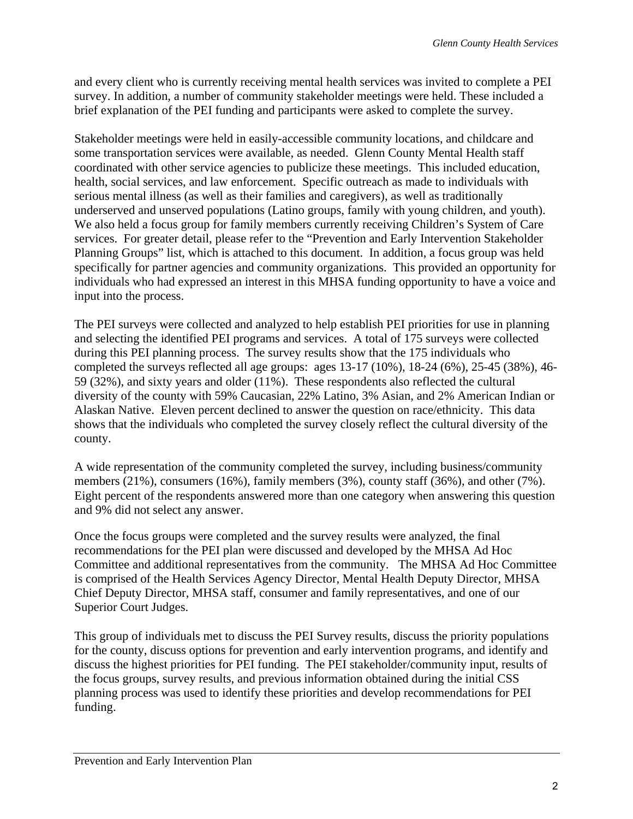and every client who is currently receiving mental health services was invited to complete a PEI survey. In addition, a number of community stakeholder meetings were held. These included a brief explanation of the PEI funding and participants were asked to complete the survey.

Stakeholder meetings were held in easily-accessible community locations, and childcare and some transportation services were available, as needed. Glenn County Mental Health staff coordinated with other service agencies to publicize these meetings. This included education, health, social services, and law enforcement. Specific outreach as made to individuals with serious mental illness (as well as their families and caregivers), as well as traditionally underserved and unserved populations (Latino groups, family with young children, and youth). We also held a focus group for family members currently receiving Children's System of Care services. For greater detail, please refer to the "Prevention and Early Intervention Stakeholder Planning Groups" list, which is attached to this document. In addition, a focus group was held specifically for partner agencies and community organizations. This provided an opportunity for individuals who had expressed an interest in this MHSA funding opportunity to have a voice and input into the process.

The PEI surveys were collected and analyzed to help establish PEI priorities for use in planning and selecting the identified PEI programs and services. A total of 175 surveys were collected during this PEI planning process. The survey results show that the 175 individuals who completed the surveys reflected all age groups: ages 13-17 (10%), 18-24 (6%), 25-45 (38%), 46- 59 (32%), and sixty years and older (11%). These respondents also reflected the cultural diversity of the county with 59% Caucasian, 22% Latino, 3% Asian, and 2% American Indian or Alaskan Native. Eleven percent declined to answer the question on race/ethnicity. This data shows that the individuals who completed the survey closely reflect the cultural diversity of the county.

A wide representation of the community completed the survey, including business/community members (21%), consumers (16%), family members (3%), county staff (36%), and other (7%). Eight percent of the respondents answered more than one category when answering this question and 9% did not select any answer.

Once the focus groups were completed and the survey results were analyzed, the final recommendations for the PEI plan were discussed and developed by the MHSA Ad Hoc Committee and additional representatives from the community. The MHSA Ad Hoc Committee is comprised of the Health Services Agency Director, Mental Health Deputy Director, MHSA Chief Deputy Director, MHSA staff, consumer and family representatives, and one of our Superior Court Judges.

This group of individuals met to discuss the PEI Survey results, discuss the priority populations for the county, discuss options for prevention and early intervention programs, and identify and discuss the highest priorities for PEI funding. The PEI stakeholder/community input, results of the focus groups, survey results, and previous information obtained during the initial CSS planning process was used to identify these priorities and develop recommendations for PEI funding.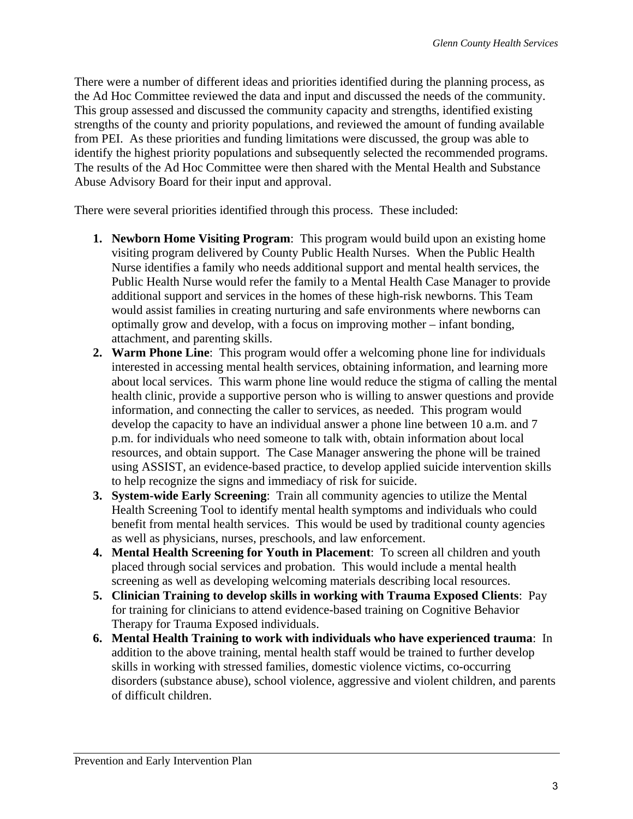There were a number of different ideas and priorities identified during the planning process, as the Ad Hoc Committee reviewed the data and input and discussed the needs of the community. This group assessed and discussed the community capacity and strengths, identified existing strengths of the county and priority populations, and reviewed the amount of funding available from PEI. As these priorities and funding limitations were discussed, the group was able to identify the highest priority populations and subsequently selected the recommended programs. The results of the Ad Hoc Committee were then shared with the Mental Health and Substance Abuse Advisory Board for their input and approval.

There were several priorities identified through this process. These included:

- **1. Newborn Home Visiting Program**: This program would build upon an existing home visiting program delivered by County Public Health Nurses. When the Public Health Nurse identifies a family who needs additional support and mental health services, the Public Health Nurse would refer the family to a Mental Health Case Manager to provide additional support and services in the homes of these high-risk newborns. This Team would assist families in creating nurturing and safe environments where newborns can optimally grow and develop, with a focus on improving mother – infant bonding, attachment, and parenting skills.
- **2. Warm Phone Line**: This program would offer a welcoming phone line for individuals interested in accessing mental health services, obtaining information, and learning more about local services. This warm phone line would reduce the stigma of calling the mental health clinic, provide a supportive person who is willing to answer questions and provide information, and connecting the caller to services, as needed. This program would develop the capacity to have an individual answer a phone line between 10 a.m. and 7 p.m. for individuals who need someone to talk with, obtain information about local resources, and obtain support. The Case Manager answering the phone will be trained using ASSIST, an evidence-based practice, to develop applied suicide intervention skills to help recognize the signs and immediacy of risk for suicide.
- **3. System-wide Early Screening**: Train all community agencies to utilize the Mental Health Screening Tool to identify mental health symptoms and individuals who could benefit from mental health services. This would be used by traditional county agencies as well as physicians, nurses, preschools, and law enforcement.
- **4. Mental Health Screening for Youth in Placement**: To screen all children and youth placed through social services and probation. This would include a mental health screening as well as developing welcoming materials describing local resources.
- **5. Clinician Training to develop skills in working with Trauma Exposed Clients**: Pay for training for clinicians to attend evidence-based training on Cognitive Behavior Therapy for Trauma Exposed individuals.
- **6. Mental Health Training to work with individuals who have experienced trauma**: In addition to the above training, mental health staff would be trained to further develop skills in working with stressed families, domestic violence victims, co-occurring disorders (substance abuse), school violence, aggressive and violent children, and parents of difficult children.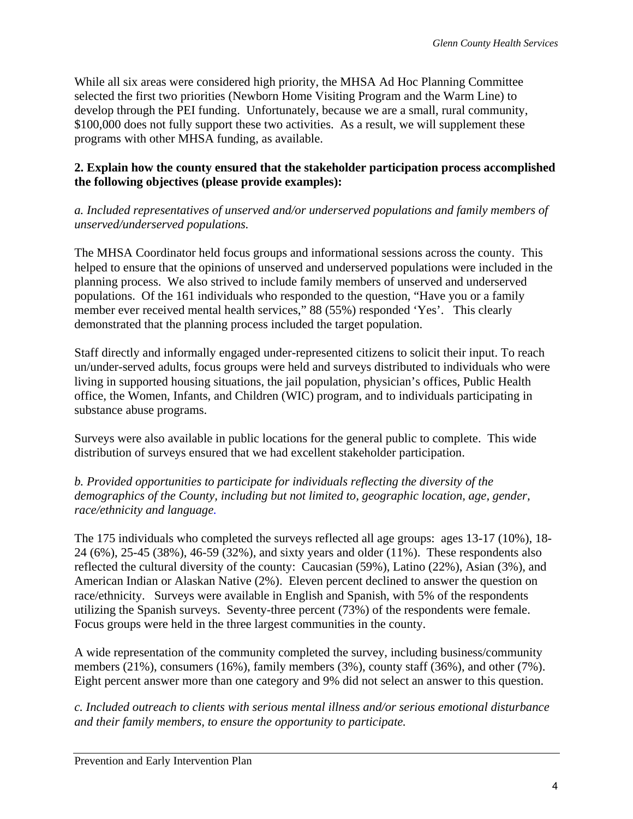While all six areas were considered high priority, the MHSA Ad Hoc Planning Committee selected the first two priorities (Newborn Home Visiting Program and the Warm Line) to develop through the PEI funding. Unfortunately, because we are a small, rural community, \$100,000 does not fully support these two activities. As a result, we will supplement these programs with other MHSA funding, as available.

## **2. Explain how the county ensured that the stakeholder participation process accomplished the following objectives (please provide examples):**

*a. Included representatives of unserved and/or underserved populations and family members of unserved/underserved populations.* 

The MHSA Coordinator held focus groups and informational sessions across the county. This helped to ensure that the opinions of unserved and underserved populations were included in the planning process. We also strived to include family members of unserved and underserved populations. Of the 161 individuals who responded to the question, "Have you or a family member ever received mental health services," 88 (55%) responded 'Yes'. This clearly demonstrated that the planning process included the target population.

Staff directly and informally engaged under-represented citizens to solicit their input. To reach un/under-served adults, focus groups were held and surveys distributed to individuals who were living in supported housing situations, the jail population, physician's offices, Public Health office, the Women, Infants, and Children (WIC) program, and to individuals participating in substance abuse programs.

Surveys were also available in public locations for the general public to complete. This wide distribution of surveys ensured that we had excellent stakeholder participation.

*b. Provided opportunities to participate for individuals reflecting the diversity of the demographics of the County, including but not limited to, geographic location, age, gender, race/ethnicity and language.* 

The 175 individuals who completed the surveys reflected all age groups: ages 13-17 (10%), 18- 24 (6%), 25-45 (38%), 46-59 (32%), and sixty years and older (11%). These respondents also reflected the cultural diversity of the county: Caucasian (59%), Latino (22%), Asian (3%), and American Indian or Alaskan Native (2%). Eleven percent declined to answer the question on race/ethnicity. Surveys were available in English and Spanish, with 5% of the respondents utilizing the Spanish surveys. Seventy-three percent (73%) of the respondents were female. Focus groups were held in the three largest communities in the county.

A wide representation of the community completed the survey, including business/community members (21%), consumers (16%), family members (3%), county staff (36%), and other (7%). Eight percent answer more than one category and 9% did not select an answer to this question.

*c. Included outreach to clients with serious mental illness and/or serious emotional disturbance and their family members, to ensure the opportunity to participate.*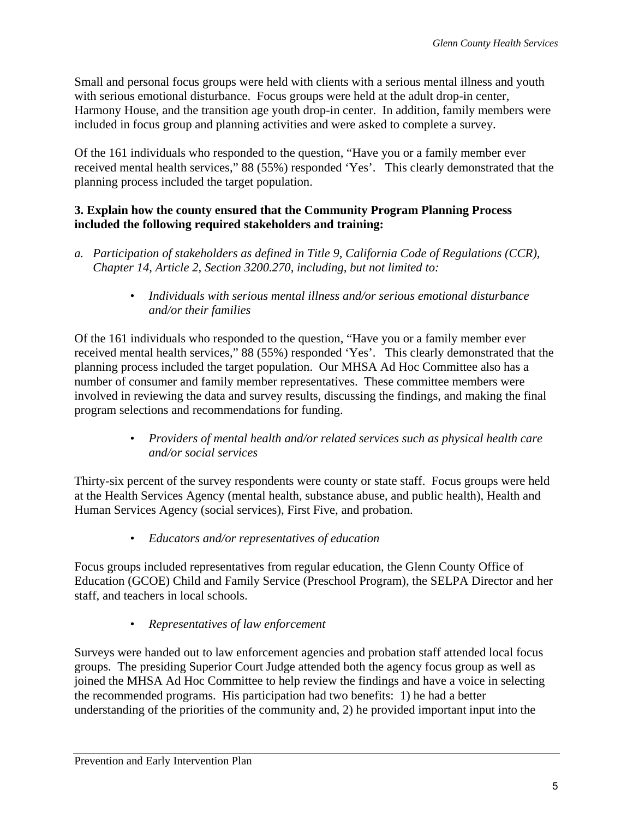Small and personal focus groups were held with clients with a serious mental illness and youth with serious emotional disturbance. Focus groups were held at the adult drop-in center, Harmony House, and the transition age youth drop-in center. In addition, family members were included in focus group and planning activities and were asked to complete a survey.

Of the 161 individuals who responded to the question, "Have you or a family member ever received mental health services," 88 (55%) responded 'Yes'. This clearly demonstrated that the planning process included the target population.

## **3. Explain how the county ensured that the Community Program Planning Process included the following required stakeholders and training:**

- *a. Participation of stakeholders as defined in Title 9, California Code of Regulations (CCR), Chapter 14, Article 2, Section 3200.270, including, but not limited to:* 
	- *Individuals with serious mental illness and/or serious emotional disturbance and/or their families*

Of the 161 individuals who responded to the question, "Have you or a family member ever received mental health services," 88 (55%) responded 'Yes'. This clearly demonstrated that the planning process included the target population. Our MHSA Ad Hoc Committee also has a number of consumer and family member representatives. These committee members were involved in reviewing the data and survey results, discussing the findings, and making the final program selections and recommendations for funding.

> • *Providers of mental health and/or related services such as physical health care and/or social services*

Thirty-six percent of the survey respondents were county or state staff. Focus groups were held at the Health Services Agency (mental health, substance abuse, and public health), Health and Human Services Agency (social services), First Five, and probation.

• *Educators and/or representatives of education* 

Focus groups included representatives from regular education, the Glenn County Office of Education (GCOE) Child and Family Service (Preschool Program), the SELPA Director and her staff, and teachers in local schools.

• *Representatives of law enforcement* 

Surveys were handed out to law enforcement agencies and probation staff attended local focus groups. The presiding Superior Court Judge attended both the agency focus group as well as joined the MHSA Ad Hoc Committee to help review the findings and have a voice in selecting the recommended programs. His participation had two benefits: 1) he had a better understanding of the priorities of the community and, 2) he provided important input into the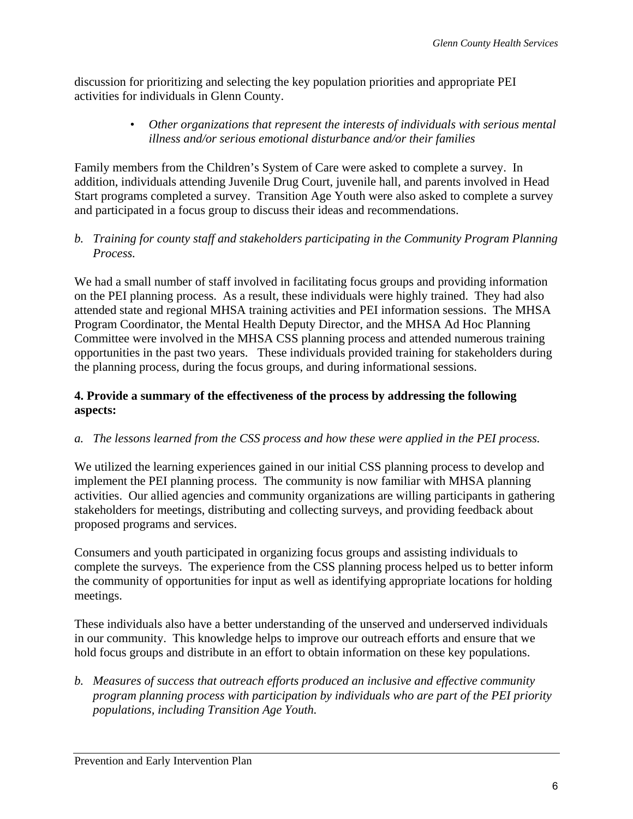discussion for prioritizing and selecting the key population priorities and appropriate PEI activities for individuals in Glenn County.

> • *Other organizations that represent the interests of individuals with serious mental illness and/or serious emotional disturbance and/or their families*

Family members from the Children's System of Care were asked to complete a survey. In addition, individuals attending Juvenile Drug Court, juvenile hall, and parents involved in Head Start programs completed a survey. Transition Age Youth were also asked to complete a survey and participated in a focus group to discuss their ideas and recommendations.

## *b. Training for county staff and stakeholders participating in the Community Program Planning Process.*

We had a small number of staff involved in facilitating focus groups and providing information on the PEI planning process. As a result, these individuals were highly trained. They had also attended state and regional MHSA training activities and PEI information sessions. The MHSA Program Coordinator, the Mental Health Deputy Director, and the MHSA Ad Hoc Planning Committee were involved in the MHSA CSS planning process and attended numerous training opportunities in the past two years. These individuals provided training for stakeholders during the planning process, during the focus groups, and during informational sessions.

## **4. Provide a summary of the effectiveness of the process by addressing the following aspects:**

## *a. The lessons learned from the CSS process and how these were applied in the PEI process.*

We utilized the learning experiences gained in our initial CSS planning process to develop and implement the PEI planning process. The community is now familiar with MHSA planning activities. Our allied agencies and community organizations are willing participants in gathering stakeholders for meetings, distributing and collecting surveys, and providing feedback about proposed programs and services.

Consumers and youth participated in organizing focus groups and assisting individuals to complete the surveys. The experience from the CSS planning process helped us to better inform the community of opportunities for input as well as identifying appropriate locations for holding meetings.

These individuals also have a better understanding of the unserved and underserved individuals in our community. This knowledge helps to improve our outreach efforts and ensure that we hold focus groups and distribute in an effort to obtain information on these key populations.

*b. Measures of success that outreach efforts produced an inclusive and effective community program planning process with participation by individuals who are part of the PEI priority populations, including Transition Age Youth.*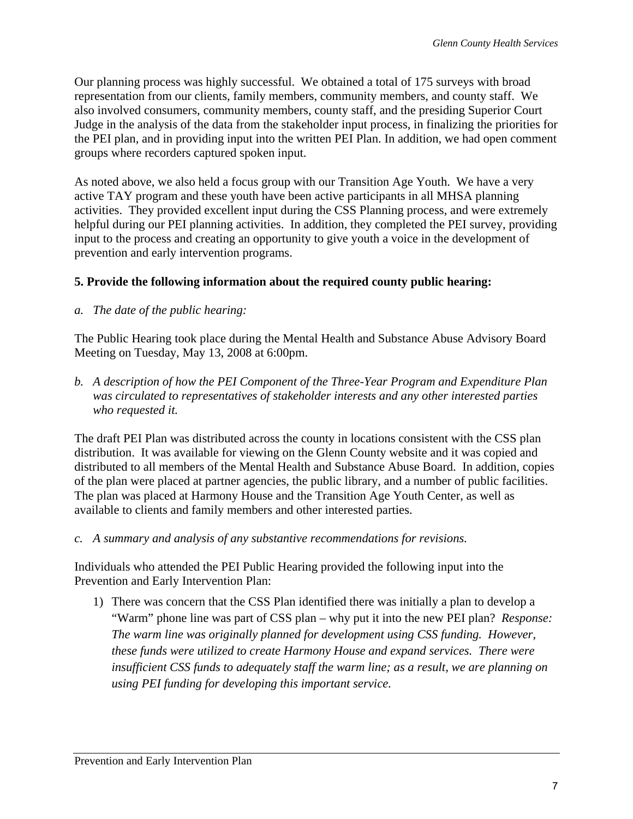Our planning process was highly successful. We obtained a total of 175 surveys with broad representation from our clients, family members, community members, and county staff. We also involved consumers, community members, county staff, and the presiding Superior Court Judge in the analysis of the data from the stakeholder input process, in finalizing the priorities for the PEI plan, and in providing input into the written PEI Plan. In addition, we had open comment groups where recorders captured spoken input.

As noted above, we also held a focus group with our Transition Age Youth. We have a very active TAY program and these youth have been active participants in all MHSA planning activities. They provided excellent input during the CSS Planning process, and were extremely helpful during our PEI planning activities. In addition, they completed the PEI survey, providing input to the process and creating an opportunity to give youth a voice in the development of prevention and early intervention programs.

## **5. Provide the following information about the required county public hearing:**

*a. The date of the public hearing:* 

The Public Hearing took place during the Mental Health and Substance Abuse Advisory Board Meeting on Tuesday, May 13, 2008 at 6:00pm.

*b. A description of how the PEI Component of the Three-Year Program and Expenditure Plan was circulated to representatives of stakeholder interests and any other interested parties who requested it.* 

The draft PEI Plan was distributed across the county in locations consistent with the CSS plan distribution. It was available for viewing on the Glenn County website and it was copied and distributed to all members of the Mental Health and Substance Abuse Board. In addition, copies of the plan were placed at partner agencies, the public library, and a number of public facilities. The plan was placed at Harmony House and the Transition Age Youth Center, as well as available to clients and family members and other interested parties.

*c. A summary and analysis of any substantive recommendations for revisions.* 

Individuals who attended the PEI Public Hearing provided the following input into the Prevention and Early Intervention Plan:

1) There was concern that the CSS Plan identified there was initially a plan to develop a "Warm" phone line was part of CSS plan – why put it into the new PEI plan? *Response: The warm line was originally planned for development using CSS funding. However, these funds were utilized to create Harmony House and expand services. There were insufficient CSS funds to adequately staff the warm line; as a result, we are planning on using PEI funding for developing this important service.*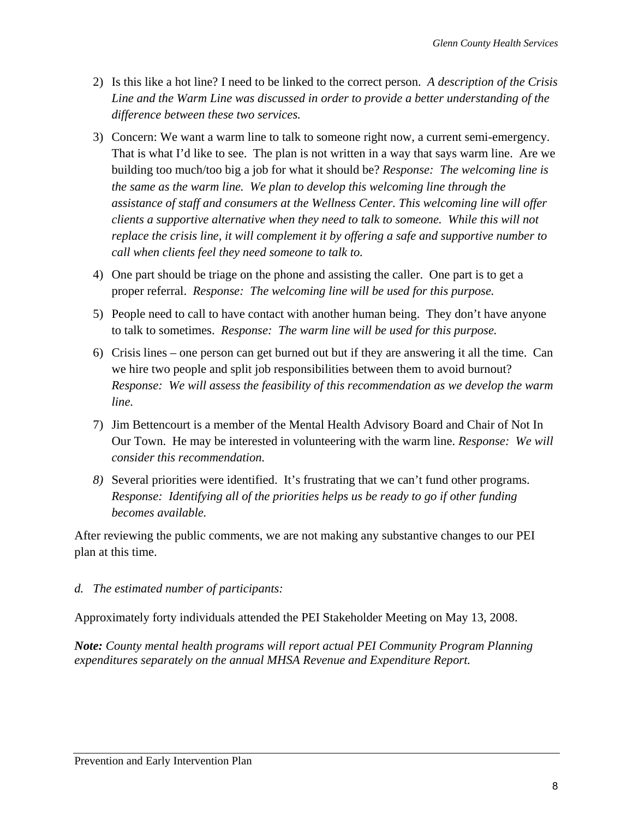- 2) Is this like a hot line? I need to be linked to the correct person. *A description of the Crisis Line and the Warm Line was discussed in order to provide a better understanding of the difference between these two services.*
- 3) Concern: We want a warm line to talk to someone right now, a current semi-emergency. That is what I'd like to see. The plan is not written in a way that says warm line. Are we building too much/too big a job for what it should be? *Response: The welcoming line is the same as the warm line. We plan to develop this welcoming line through the assistance of staff and consumers at the Wellness Center. This welcoming line will offer clients a supportive alternative when they need to talk to someone. While this will not replace the crisis line, it will complement it by offering a safe and supportive number to call when clients feel they need someone to talk to.*
- 4) One part should be triage on the phone and assisting the caller. One part is to get a proper referral. *Response: The welcoming line will be used for this purpose.*
- 5) People need to call to have contact with another human being. They don't have anyone to talk to sometimes. *Response: The warm line will be used for this purpose.*
- 6) Crisis lines one person can get burned out but if they are answering it all the time. Can we hire two people and split job responsibilities between them to avoid burnout? *Response: We will assess the feasibility of this recommendation as we develop the warm line.*
- 7) Jim Bettencourt is a member of the Mental Health Advisory Board and Chair of Not In Our Town. He may be interested in volunteering with the warm line. *Response: We will consider this recommendation.*
- *8)* Several priorities were identified. It's frustrating that we can't fund other programs. *Response: Identifying all of the priorities helps us be ready to go if other funding becomes available.*

After reviewing the public comments, we are not making any substantive changes to our PEI plan at this time.

## *d. The estimated number of participants:*

Approximately forty individuals attended the PEI Stakeholder Meeting on May 13, 2008.

*Note: County mental health programs will report actual PEI Community Program Planning expenditures separately on the annual MHSA Revenue and Expenditure Report.*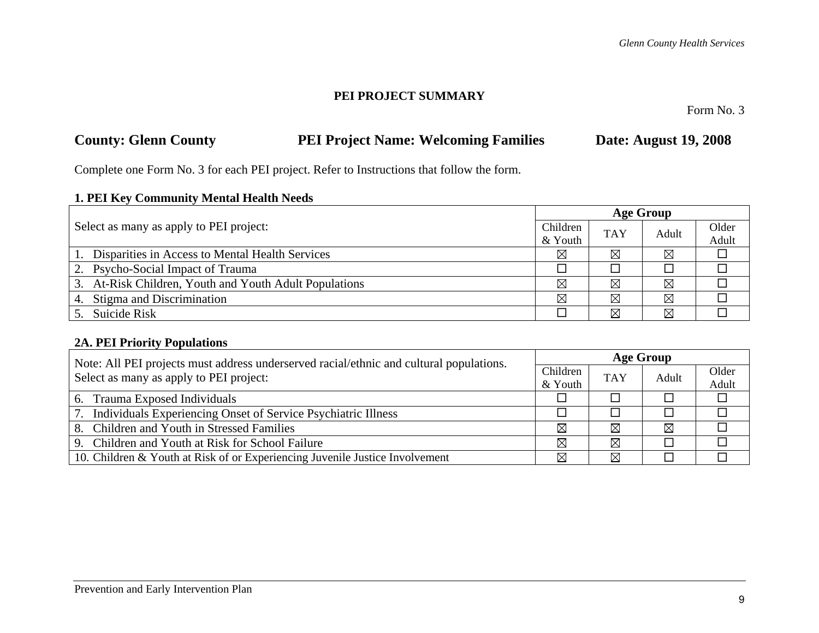## **PEI PROJECT SUMMARY**

Form No. 3

# **County: Glenn County PEI Project Name: Welcoming Families Date: August 19, 2008**

Complete one Form No. 3 for each PEI project. Refer to Instructions that follow the form.

## **1. PEI Key Community Mental Health Needs**

|                                                        |          | <b>Age Group</b> |       |       |  |  |
|--------------------------------------------------------|----------|------------------|-------|-------|--|--|
| Select as many as apply to PEI project:                | Children | <b>TAY</b>       | Adult | Older |  |  |
|                                                        | & Youth  |                  |       | Adult |  |  |
| Disparities in Access to Mental Health Services        | ⊠        | ⊠                | ⊠     |       |  |  |
| 2. Psycho-Social Impact of Trauma                      |          |                  |       |       |  |  |
| 3. At-Risk Children, Youth and Youth Adult Populations | ⊠        | ⊠                | ⊠     |       |  |  |
| 4. Stigma and Discrimination                           | ⊠        | ⊠                | ⊠     |       |  |  |
| 5. Suicide Risk                                        |          | ⊠                | ⊠     |       |  |  |

## **2A. PEI Priority Populations**

| Note: All PEI projects must address underserved racial/ethnic and cultural populations. |          | <b>Age Group</b> |             |       |  |  |
|-----------------------------------------------------------------------------------------|----------|------------------|-------------|-------|--|--|
| Select as many as apply to PEI project:                                                 | Children | <b>TAY</b>       | Adult       | Older |  |  |
| & Youth                                                                                 |          |                  |             | Adult |  |  |
| 6. Trauma Exposed Individuals                                                           |          |                  |             |       |  |  |
| 7. Individuals Experiencing Onset of Service Psychiatric Illness                        |          |                  |             |       |  |  |
| 8. Children and Youth in Stressed Families                                              | ⊠        | ⊠                | $\boxtimes$ |       |  |  |
| 9. Children and Youth at Risk for School Failure                                        | ⊠        | $\boxtimes$      |             |       |  |  |
| 10. Children & Youth at Risk of or Experiencing Juvenile Justice Involvement            | ⊠        | $\boxtimes$      |             |       |  |  |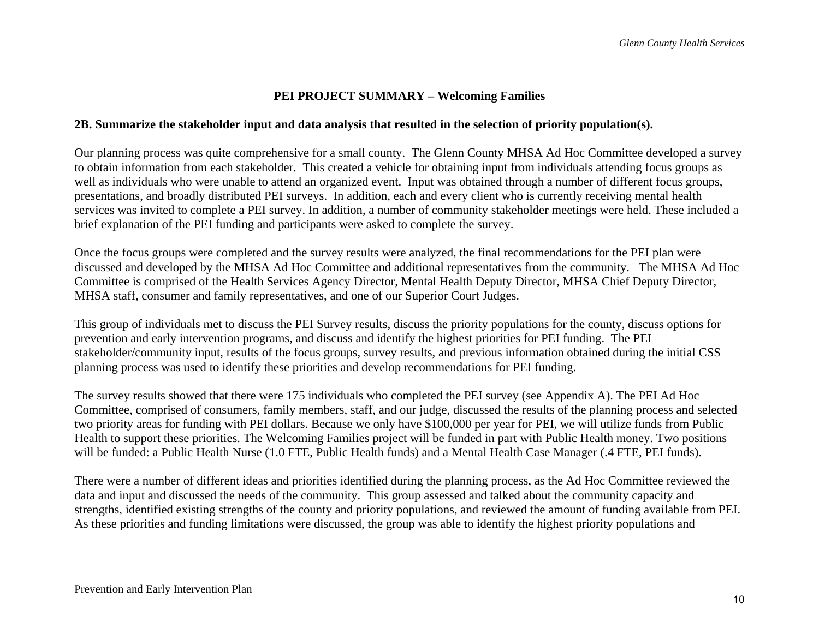## **PEI PROJECT SUMMARY – Welcoming Families**

#### **2B. Summarize the stakeholder input and data analysis that resulted in the selection of priority population(s).**

Our planning process was quite comprehensive for a small county. The Glenn County MHSA Ad Hoc Committee developed a survey to obtain information from each stakeholder. This created a vehicle for obtaining input from individuals attending focus groups as well as individuals who were unable to attend an organized event. Input was obtained through a number of different focus groups, presentations, and broadly distributed PEI surveys. In addition, each and every client who is currently receiving mental health services was invited to complete a PEI survey. In addition, a number of community stakeholder meetings were held. These included a brief explanation of the PEI funding and participants were asked to complete the survey.

Once the focus groups were completed and the survey results were analyzed, the final recommendations for the PEI plan were discussed and developed by the MHSA Ad Hoc Committee and additional representatives from the community. The MHSA Ad Hoc Committee is comprised of the Health Services Agency Director, Mental Health Deputy Director, MHSA Chief Deputy Director, MHSA staff, consumer and family representatives, and one of our Superior Court Judges.

This group of individuals met to discuss the PEI Survey results, discuss the priority populations for the county, discuss options for prevention and early intervention programs, and discuss and identify the highest priorities for PEI funding. The PEI stakeholder/community input, results of the focus groups, survey results, and previous information obtained during the initial CSS planning process was used to identify these priorities and develop recommendations for PEI funding.

The survey results showed that there were 175 individuals who completed the PEI survey (see Appendix A). The PEI Ad Hoc Committee, comprised of consumers, family members, staff, and our judge, discussed the results of the planning process and selected two priority areas for funding with PEI dollars. Because we only have \$100,000 per year for PEI, we will utilize funds from Public Health to support these priorities. The Welcoming Families project will be funded in part with Public Health money. Two positions will be funded: a Public Health Nurse (1.0 FTE, Public Health funds) and a Mental Health Case Manager (.4 FTE, PEI funds).

There were a number of different ideas and priorities identified during the planning process, as the Ad Hoc Committee reviewed the data and input and discussed the needs of the community. This group assessed and talked about the community capacity and strengths, identified existing strengths of the county and priority populations, and reviewed the amount of funding available from PEI. As these priorities and funding limitations were discussed, the group was able to identify the highest priority populations and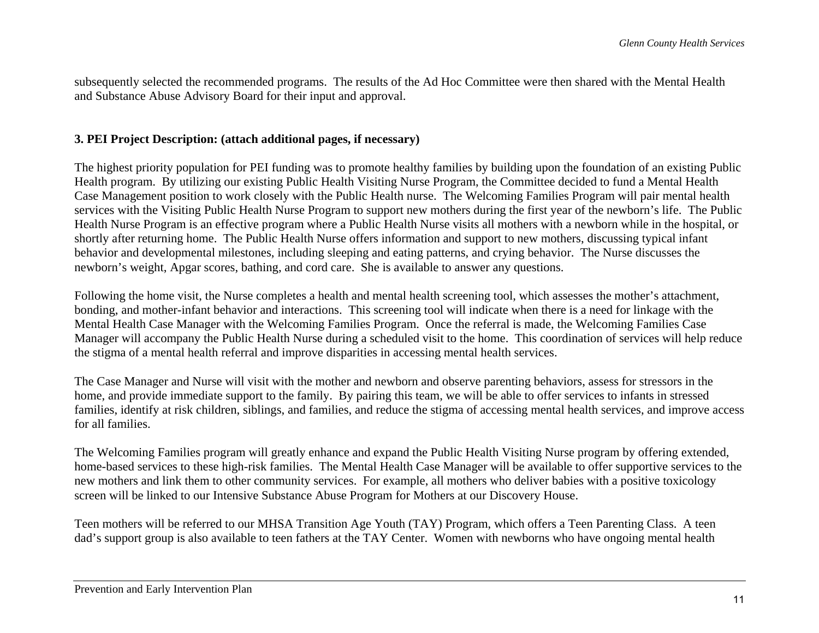subsequently selected the recommended programs. The results of the Ad Hoc Committee were then shared with the Mental Health and Substance Abuse Advisory Board for their input and approval.

#### **3. PEI Project Description: (attach additional pages, if necessary)**

The highest priority population for PEI funding was to promote healthy families by building upon the foundation of an existing Public Health program. By utilizing our existing Public Health Visiting Nurse Program, the Committee decided to fund a Mental Health Case Management position to work closely with the Public Health nurse. The Welcoming Families Program will pair mental health services with the Visiting Public Health Nurse Program to support new mothers during the first year of the newborn's life. The Public Health Nurse Program is an effective program where a Public Health Nurse visits all mothers with a newborn while in the hospital, or shortly after returning home. The Public Health Nurse offers information and support to new mothers, discussing typical infant behavior and developmental milestones, including sleeping and eating patterns, and crying behavior. The Nurse discusses the newborn's weight, Apgar scores, bathing, and cord care. She is available to answer any questions.

Following the home visit, the Nurse completes a health and mental health screening tool, which assesses the mother's attachment, bonding, and mother-infant behavior and interactions. This screening tool will indicate when there is a need for linkage with the Mental Health Case Manager with the Welcoming Families Program. Once the referral is made, the Welcoming Families Case Manager will accompany the Public Health Nurse during a scheduled visit to the home. This coordination of services will help reduce the stigma of a mental health referral and improve disparities in accessing mental health services.

The Case Manager and Nurse will visit with the mother and newborn and observe parenting behaviors, assess for stressors in the home, and provide immediate support to the family. By pairing this team, we will be able to offer services to infants in stressed families, identify at risk children, siblings, and families, and reduce the stigma of accessing mental health services, and improve access for all families.

The Welcoming Families program will greatly enhance and expand the Public Health Visiting Nurse program by offering extended, home-based services to these high-risk families. The Mental Health Case Manager will be available to offer supportive services to the new mothers and link them to other community services. For example, all mothers who deliver babies with a positive toxicology screen will be linked to our Intensive Substance Abuse Program for Mothers at our Discovery House.

Teen mothers will be referred to our MHSA Transition Age Youth (TAY) Program, which offers a Teen Parenting Class. A teen dad's support group is also available to teen fathers at the TAY Center. Women with newborns who have ongoing mental health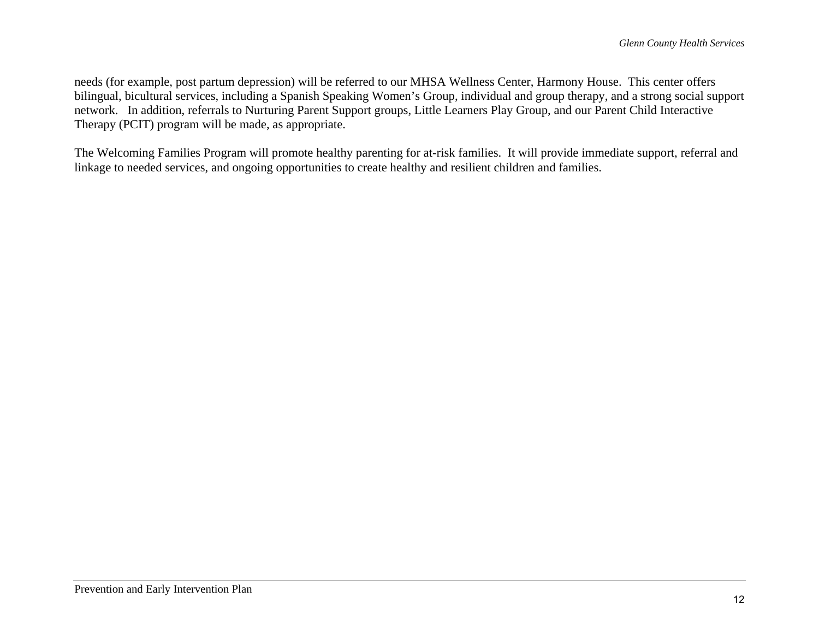needs (for example, post partum depression) will be referred to our MHSA Wellness Center, Harmony House. This center offers bilingual, bicultural services, including a Spanish Speaking Women's Group, individual and group therapy, and a strong social support network. In addition, referrals to Nurturing Parent Support groups, Little Learners Play Group, and our Parent Child Interactive Therapy (PCIT) program will be made, as appropriate.

The Welcoming Families Program will promote healthy parenting for at-risk families. It will provide immediate support, referral and linkage to needed services, and ongoing opportunities to create healthy and resilient children and families.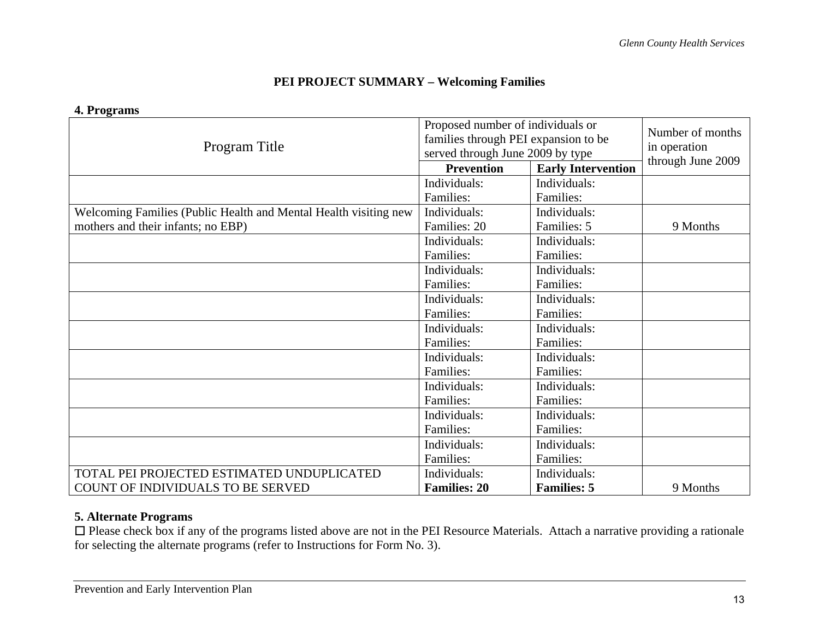## **PEI PROJECT SUMMARY – Welcoming Families**

#### **4. Programs**

| Program Title                                                    | Proposed number of individuals or<br>families through PEI expansion to be<br>served through June 2009 by type | Number of months<br>in operation<br>through June 2009 |          |
|------------------------------------------------------------------|---------------------------------------------------------------------------------------------------------------|-------------------------------------------------------|----------|
|                                                                  | <b>Prevention</b>                                                                                             | <b>Early Intervention</b>                             |          |
|                                                                  | Individuals:                                                                                                  | Individuals:                                          |          |
|                                                                  | Families:                                                                                                     | Families:                                             |          |
| Welcoming Families (Public Health and Mental Health visiting new | Individuals:                                                                                                  | Individuals:                                          |          |
| mothers and their infants; no EBP)                               | Families: 20                                                                                                  | Families: 5                                           | 9 Months |
|                                                                  | Individuals:                                                                                                  | Individuals:                                          |          |
|                                                                  | Families:                                                                                                     | Families:                                             |          |
|                                                                  | Individuals:                                                                                                  | Individuals:                                          |          |
|                                                                  | Families:                                                                                                     | Families:                                             |          |
|                                                                  | Individuals:                                                                                                  | Individuals:                                          |          |
|                                                                  | Families:                                                                                                     | Families:                                             |          |
|                                                                  | Individuals:                                                                                                  | Individuals:                                          |          |
|                                                                  | Families:                                                                                                     | Families:                                             |          |
|                                                                  | Individuals:                                                                                                  | Individuals:                                          |          |
|                                                                  | Families:                                                                                                     | Families:                                             |          |
|                                                                  | Individuals:                                                                                                  | Individuals:                                          |          |
|                                                                  | Families:                                                                                                     | Families:                                             |          |
|                                                                  | Individuals:                                                                                                  | Individuals:                                          |          |
|                                                                  | Families:                                                                                                     | Families:                                             |          |
|                                                                  | Individuals:                                                                                                  | Individuals:                                          |          |
|                                                                  | Families:                                                                                                     | Families:                                             |          |
| TOTAL PEI PROJECTED ESTIMATED UNDUPLICATED                       | Individuals:                                                                                                  | Individuals:                                          |          |
| COUNT OF INDIVIDUALS TO BE SERVED                                | <b>Families: 20</b>                                                                                           | <b>Families: 5</b>                                    | 9 Months |

### **5. Alternate Programs**

 $\Box$  Please check box if any of the programs listed above are not in the PEI Resource Materials. Attach a narrative providing a rationale for selecting the alternate programs (refer to Instructions for Form No. 3).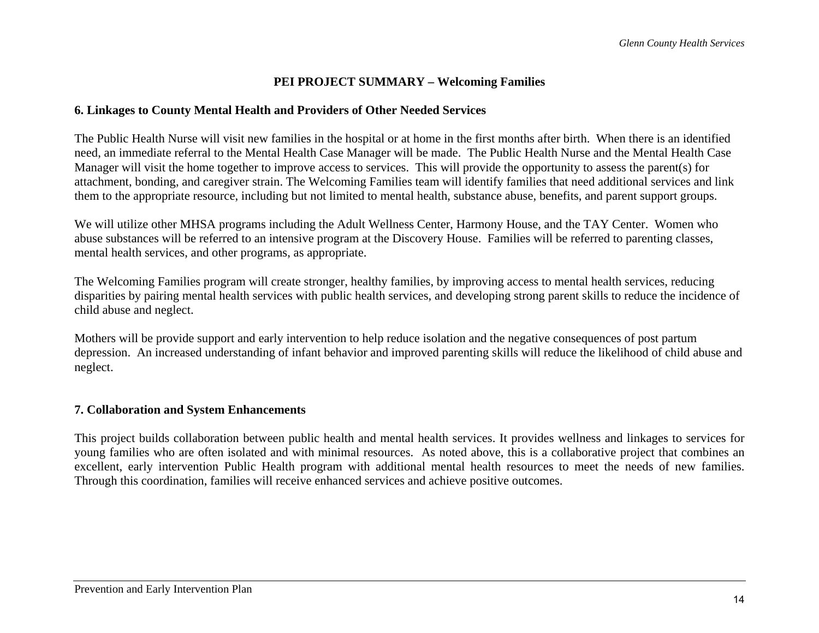## **PEI PROJECT SUMMARY – Welcoming Families**

#### **6. Linkages to County Mental Health and Providers of Other Needed Services**

The Public Health Nurse will visit new families in the hospital or at home in the first months after birth. When there is an identified need, an immediate referral to the Mental Health Case Manager will be made. The Public Health Nurse and the Mental Health Case Manager will visit the home together to improve access to services. This will provide the opportunity to assess the parent(s) for attachment, bonding, and caregiver strain. The Welcoming Families team will identify families that need additional services and link them to the appropriate resource, including but not limited to mental health, substance abuse, benefits, and parent support groups.

We will utilize other MHSA programs including the Adult Wellness Center, Harmony House, and the TAY Center. Women who abuse substances will be referred to an intensive program at the Discovery House. Families will be referred to parenting classes, mental health services, and other programs, as appropriate.

The Welcoming Families program will create stronger, healthy families, by improving access to mental health services, reducing disparities by pairing mental health services with public health services, and developing strong parent skills to reduce the incidence of child abuse and neglect.

Mothers will be provide support and early intervention to help reduce isolation and the negative consequences of post partum depression. An increased understanding of infant behavior and improved parenting skills will reduce the likelihood of child abuse and neglect.

## **7. Collaboration and System Enhancements**

This project builds collaboration between public health and mental health services. It provides wellness and linkages to services for young families who are often isolated and with minimal resources. As noted above, this is a collaborative project that combines an excellent, early intervention Public Health program with additional mental health resources to meet the needs of new families. Through this coordination, families will receive enhanced services and achieve positive outcomes.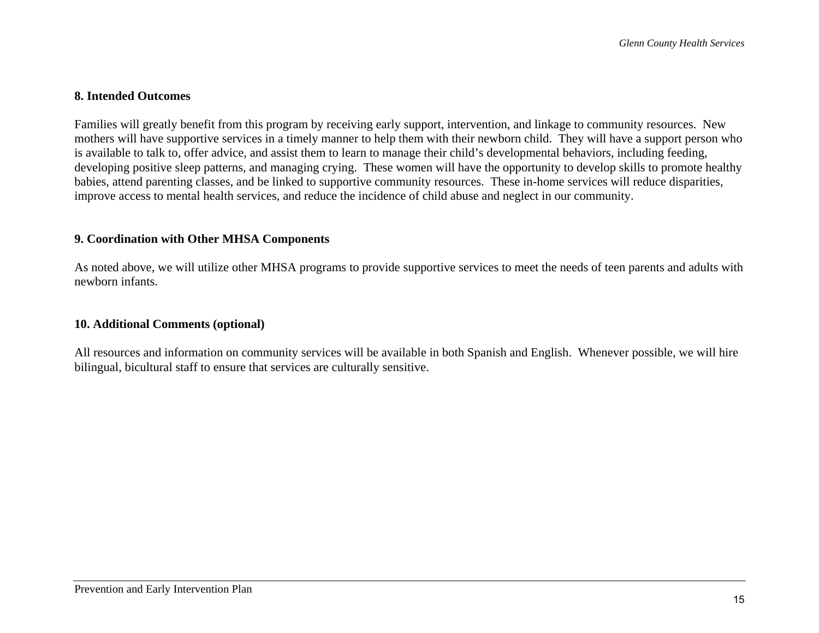### **8. Intended Outcomes**

Families will greatly benefit from this program by receiving early support, intervention, and linkage to community resources. New mothers will have supportive services in a timely manner to help them with their newborn child. They will have a support person who is available to talk to, offer advice, and assist them to learn to manage their child's developmental behaviors, including feeding, developing positive sleep patterns, and managing crying. These women will have the opportunity to develop skills to promote healthy babies, attend parenting classes, and be linked to supportive community resources. These in-home services will reduce disparities, improve access to mental health services, and reduce the incidence of child abuse and neglect in our community.

#### **9. Coordination with Other MHSA Components**

As noted above, we will utilize other MHSA programs to provide supportive services to meet the needs of teen parents and adults with newborn infants.

#### **10. Additional Comments (optional)**

All resources and information on community services will be available in both Spanish and English. Whenever possible, we will hire bilingual, bicultural staff to ensure that services are culturally sensitive.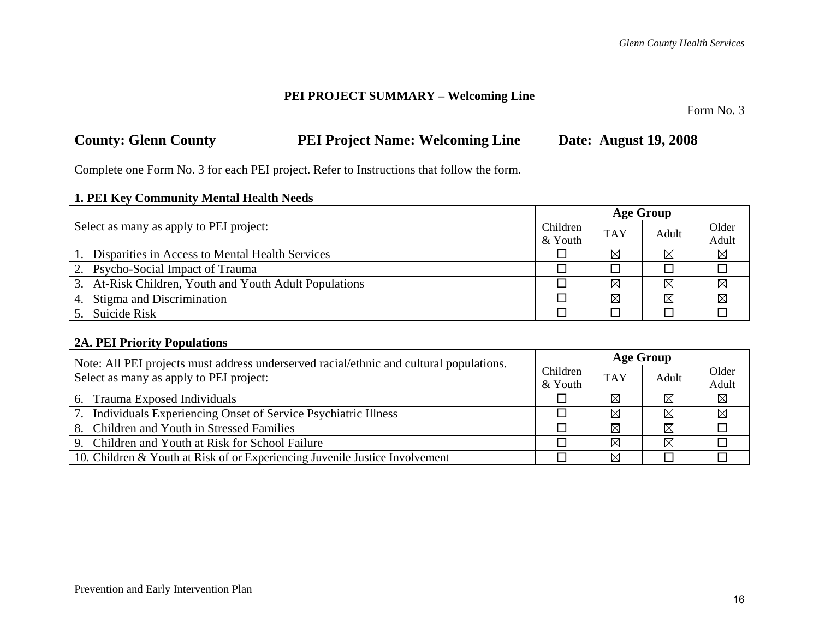## **PEI PROJECT SUMMARY – Welcoming Line**

Form No. 3

| <b>County: Glenn County</b> | <b>PEI Project Name: Welcoming Line</b> | <b>Date: August 19, 2008</b> |
|-----------------------------|-----------------------------------------|------------------------------|
|-----------------------------|-----------------------------------------|------------------------------|

Complete one Form No. 3 for each PEI project. Refer to Instructions that follow the form.

## **1. PEI Key Community Mental Health Needs**

|                                                        |          | <b>Age Group</b> |       |             |  |  |
|--------------------------------------------------------|----------|------------------|-------|-------------|--|--|
| Select as many as apply to PEI project:                | Children | <b>TAY</b>       | Adult | Older       |  |  |
|                                                        | & Youth  |                  |       | Adult       |  |  |
| 1. Disparities in Access to Mental Health Services     |          | ⊠                | ⊠     | $\boxtimes$ |  |  |
| 2. Psycho-Social Impact of Trauma                      |          |                  |       |             |  |  |
| 3. At-Risk Children, Youth and Youth Adult Populations |          | ⊠                | ⊠     | $\boxtimes$ |  |  |
| 4. Stigma and Discrimination                           |          | $\boxtimes$      | ⊠     | ⊠           |  |  |
| 5. Suicide Risk                                        |          |                  |       |             |  |  |

## **2A. PEI Priority Populations**

| Note: All PEI projects must address underserved racial/ethnic and cultural populations. |          | <b>Age Group</b> |             |             |  |  |
|-----------------------------------------------------------------------------------------|----------|------------------|-------------|-------------|--|--|
| Select as many as apply to PEI project:                                                 | Children | <b>TAY</b>       | Adult       | Older       |  |  |
| & Youth                                                                                 |          |                  |             | Adult       |  |  |
| 6. Trauma Exposed Individuals                                                           |          | ⊠                | $\boxtimes$ | $\boxtimes$ |  |  |
| 7. Individuals Experiencing Onset of Service Psychiatric Illness                        |          | ⊠                | $\boxtimes$ | $\boxtimes$ |  |  |
| 8. Children and Youth in Stressed Families                                              |          | $\boxtimes$      | $\boxtimes$ |             |  |  |
| 9. Children and Youth at Risk for School Failure                                        |          | ⊠                | $\boxtimes$ |             |  |  |
| 10. Children & Youth at Risk of or Experiencing Juvenile Justice Involvement            |          | ⊠                |             |             |  |  |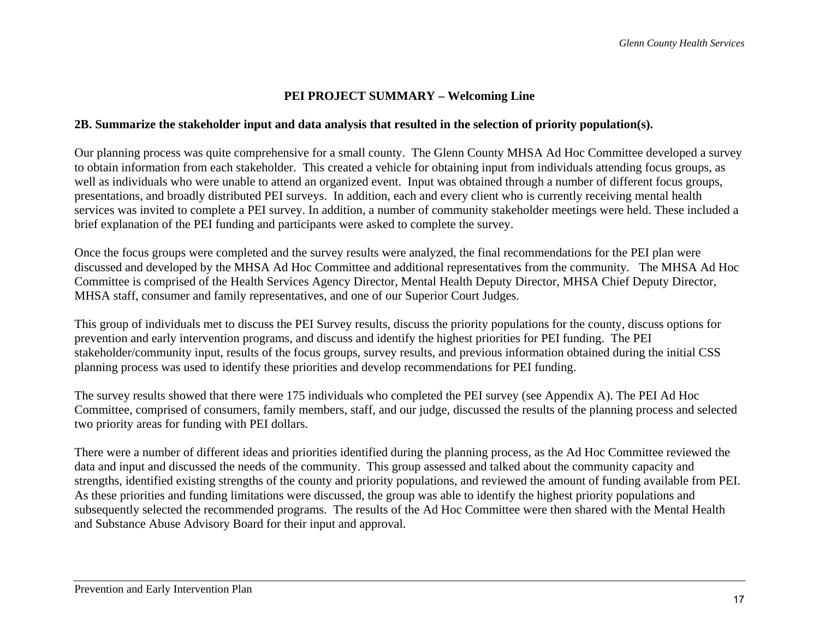## **PEI PROJECT SUMMARY – Welcoming Line**

#### **2B. Summarize the stakeholder input and data analysis that resulted in the selection of priority population(s).**

Our planning process was quite comprehensive for a small county. The Glenn County MHSA Ad Hoc Committee developed a survey to obtain information from each stakeholder. This created a vehicle for obtaining input from individuals attending focus groups, as well as individuals who were unable to attend an organized event. Input was obtained through a number of different focus groups, presentations, and broadly distributed PEI surveys. In addition, each and every client who is currently receiving mental health services was invited to complete a PEI survey. In addition, a number of community stakeholder meetings were held. These included a brief explanation of the PEI funding and participants were asked to complete the survey.

Once the focus groups were completed and the survey results were analyzed, the final recommendations for the PEI plan were discussed and developed by the MHSA Ad Hoc Committee and additional representatives from the community. The MHSA Ad Hoc Committee is comprised of the Health Services Agency Director, Mental Health Deputy Director, MHSA Chief Deputy Director, MHSA staff, consumer and family representatives, and one of our Superior Court Judges.

This group of individuals met to discuss the PEI Survey results, discuss the priority populations for the county, discuss options for prevention and early intervention programs, and discuss and identify the highest priorities for PEI funding. The PEI stakeholder/community input, results of the focus groups, survey results, and previous information obtained during the initial CSS planning process was used to identify these priorities and develop recommendations for PEI funding.

The survey results showed that there were 175 individuals who completed the PEI survey (see Appendix A). The PEI Ad Hoc Committee, comprised of consumers, family members, staff, and our judge, discussed the results of the planning process and selected two priority areas for funding with PEI dollars.

There were a number of different ideas and priorities identified during the planning process, as the Ad Hoc Committee reviewed the data and input and discussed the needs of the community. This group assessed and talked about the community capacity and strengths, identified existing strengths of the county and priority populations, and reviewed the amount of funding available from PEI. As these priorities and funding limitations were discussed, the group was able to identify the highest priority populations and subsequently selected the recommended programs. The results of the Ad Hoc Committee were then shared with the Mental Health and Substance Abuse Advisory Board for their input and approval.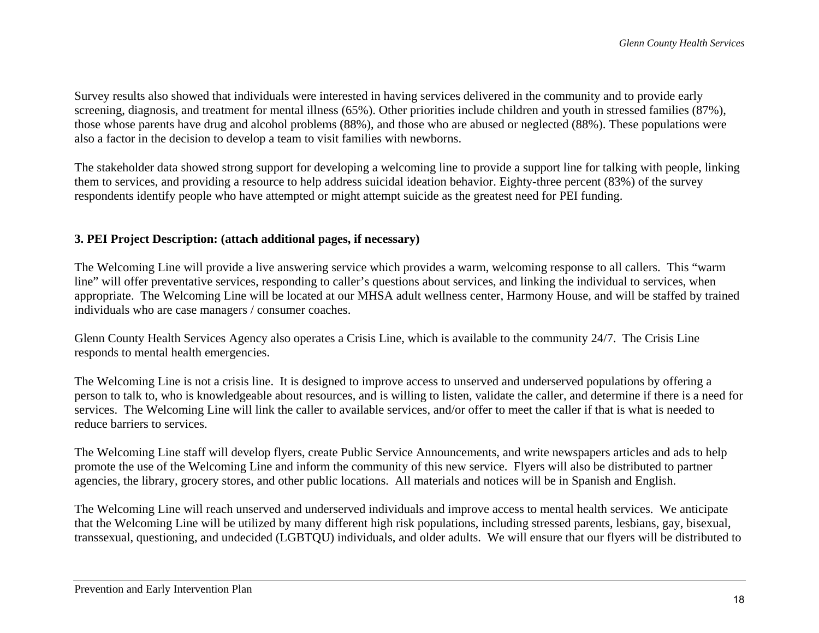Survey results also showed that individuals were interested in having services delivered in the community and to provide early screening, diagnosis, and treatment for mental illness (65%). Other priorities include children and youth in stressed families (87%), those whose parents have drug and alcohol problems (88%), and those who are abused or neglected (88%). These populations were also a factor in the decision to develop a team to visit families with newborns.

The stakeholder data showed strong support for developing a welcoming line to provide a support line for talking with people, linking them to services, and providing a resource to help address suicidal ideation behavior. Eighty-three percent (83%) of the survey respondents identify people who have attempted or might attempt suicide as the greatest need for PEI funding.

## **3. PEI Project Description: (attach additional pages, if necessary)**

The Welcoming Line will provide a live answering service which provides a warm, welcoming response to all callers. This "warm line" will offer preventative services, responding to caller's questions about services, and linking the individual to services, when appropriate. The Welcoming Line will be located at our MHSA adult wellness center, Harmony House, and will be staffed by trained individuals who are case managers / consumer coaches.

Glenn County Health Services Agency also operates a Crisis Line, which is available to the community 24/7. The Crisis Line responds to mental health emergencies.

The Welcoming Line is not a crisis line. It is designed to improve access to unserved and underserved populations by offering a person to talk to, who is knowledgeable about resources, and is willing to listen, validate the caller, and determine if there is a need for services. The Welcoming Line will link the caller to available services, and/or offer to meet the caller if that is what is needed to reduce barriers to services.

The Welcoming Line staff will develop flyers, create Public Service Announcements, and write newspapers articles and ads to help promote the use of the Welcoming Line and inform the community of this new service. Flyers will also be distributed to partner agencies, the library, grocery stores, and other public locations. All materials and notices will be in Spanish and English.

The Welcoming Line will reach unserved and underserved individuals and improve access to mental health services. We anticipate that the Welcoming Line will be utilized by many different high risk populations, including stressed parents, lesbians, gay, bisexual, transsexual, questioning, and undecided (LGBTQU) individuals, and older adults. We will ensure that our flyers will be distributed to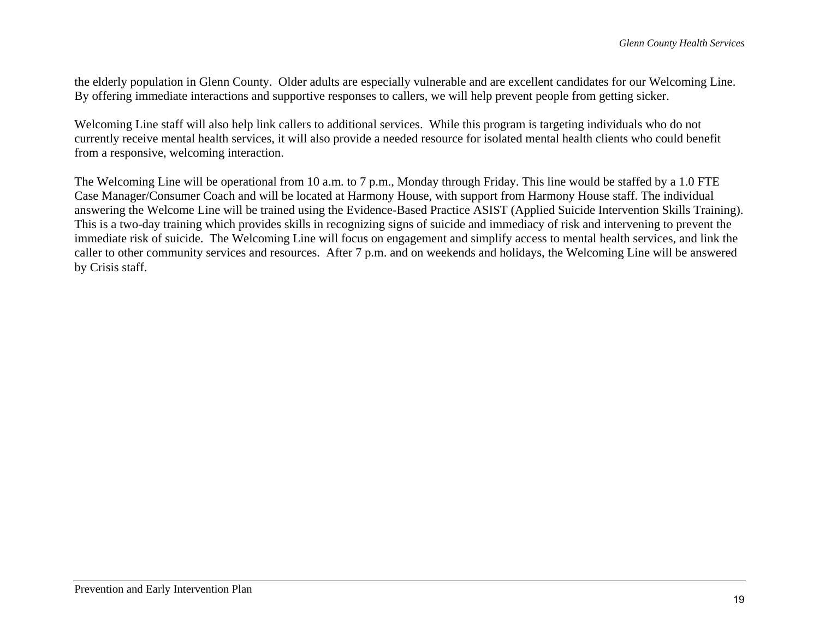the elderly population in Glenn County. Older adults are especially vulnerable and are excellent candidates for our Welcoming Line. By offering immediate interactions and supportive responses to callers, we will help prevent people from getting sicker.

Welcoming Line staff will also help link callers to additional services. While this program is targeting individuals who do not currently receive mental health services, it will also provide a needed resource for isolated mental health clients who could benefit from a responsive, welcoming interaction.

The Welcoming Line will be operational from 10 a.m. to 7 p.m., Monday through Friday. This line would be staffed by a 1.0 FTE Case Manager/Consumer Coach and will be located at Harmony House, with support from Harmony House staff. The individual answering the Welcome Line will be trained using the Evidence-Based Practice ASIST (Applied Suicide Intervention Skills Training). This is a two-day training which provides skills in recognizing signs of suicide and immediacy of risk and intervening to prevent the immediate risk of suicide. The Welcoming Line will focus on engagement and simplify access to mental health services, and link the caller to other community services and resources. After 7 p.m. and on weekends and holidays, the Welcoming Line will be answered by Crisis staff.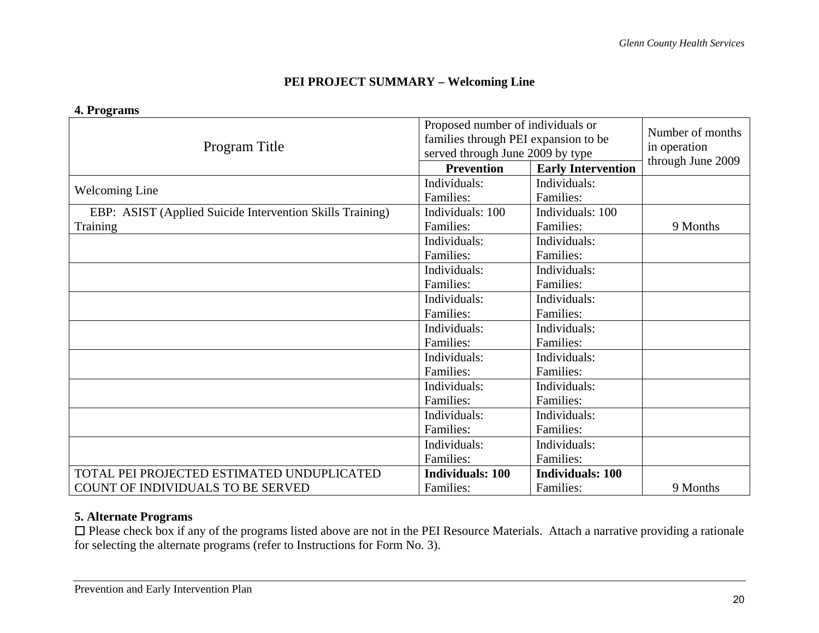## **PEI PROJECT SUMMARY – Welcoming Line**

|                                                           | Proposed number of individuals or | Number of months                     |          |  |  |
|-----------------------------------------------------------|-----------------------------------|--------------------------------------|----------|--|--|
| Program Title                                             |                                   | families through PEI expansion to be |          |  |  |
|                                                           | served through June 2009 by type  | in operation<br>through June 2009    |          |  |  |
|                                                           | <b>Prevention</b>                 | <b>Early Intervention</b>            |          |  |  |
| <b>Welcoming Line</b>                                     | Individuals:                      | Individuals:                         |          |  |  |
|                                                           | Families:                         | Families:                            |          |  |  |
| EBP: ASIST (Applied Suicide Intervention Skills Training) | Individuals: 100                  | Individuals: 100                     |          |  |  |
| Training                                                  | Families:                         | Families:                            | 9 Months |  |  |
|                                                           | Individuals:                      | Individuals:                         |          |  |  |
|                                                           | Families:                         | Families:                            |          |  |  |
|                                                           | Individuals:                      | Individuals:                         |          |  |  |
|                                                           | Families:                         | Families:                            |          |  |  |
|                                                           | Individuals:                      | Individuals:                         |          |  |  |
|                                                           | Families:                         | Families:                            |          |  |  |
|                                                           | Individuals:                      | Individuals:                         |          |  |  |
|                                                           | Families:                         | Families:                            |          |  |  |
|                                                           | Individuals:                      | Individuals:                         |          |  |  |
|                                                           | Families:                         | Families:                            |          |  |  |
|                                                           | Individuals:                      | Individuals:                         |          |  |  |
|                                                           | Families:                         | Families:                            |          |  |  |
|                                                           | Individuals:                      | Individuals:                         |          |  |  |
|                                                           | Families:                         | Families:                            |          |  |  |
|                                                           | Individuals:                      | Individuals:                         |          |  |  |
|                                                           | Families:                         | Families:                            |          |  |  |
| TOTAL PEI PROJECTED ESTIMATED UNDUPLICATED                | <b>Individuals: 100</b>           | <b>Individuals: 100</b>              |          |  |  |
| COUNT OF INDIVIDUALS TO BE SERVED                         | Families:                         | Families:                            | 9 Months |  |  |

#### **4. Programs**

## **5. Alternate Programs**

□ Please check box if any of the programs listed above are not in the PEI Resource Materials. Attach a narrative providing a rationale for selecting the alternate programs (refer to Instructions for Form No. 3).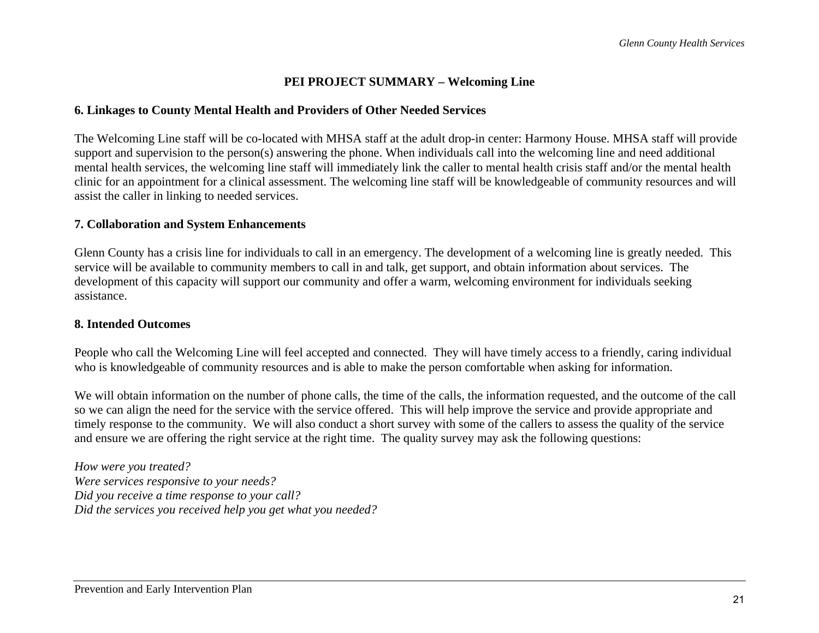## **PEI PROJECT SUMMARY – Welcoming Line**

#### **6. Linkages to County Mental Health and Providers of Other Needed Services**

The Welcoming Line staff will be co-located with MHSA staff at the adult drop-in center: Harmony House. MHSA staff will provide support and supervision to the person(s) answering the phone. When individuals call into the welcoming line and need additional mental health services, the welcoming line staff will immediately link the caller to mental health crisis staff and/or the mental health clinic for an appointment for a clinical assessment. The welcoming line staff will be knowledgeable of community resources and will assist the caller in linking to needed services.

#### **7. Collaboration and System Enhancements**

Glenn County has a crisis line for individuals to call in an emergency. The development of a welcoming line is greatly needed. This service will be available to community members to call in and talk, get support, and obtain information about services. The development of this capacity will support our community and offer a warm, welcoming environment for individuals seeking assistance.

#### **8. Intended Outcomes**

People who call the Welcoming Line will feel accepted and connected. They will have timely access to a friendly, caring individual who is knowledgeable of community resources and is able to make the person comfortable when asking for information.

We will obtain information on the number of phone calls, the time of the calls, the information requested, and the outcome of the call so we can align the need for the service with the service offered. This will help improve the service and provide appropriate and timely response to the community. We will also conduct a short survey with some of the callers to assess the quality of the service and ensure we are offering the right service at the right time. The quality survey may ask the following questions:

*How were you treated? Were services responsive to your needs? Did you receive a time response to your call? Did the services you received help you get what you needed?*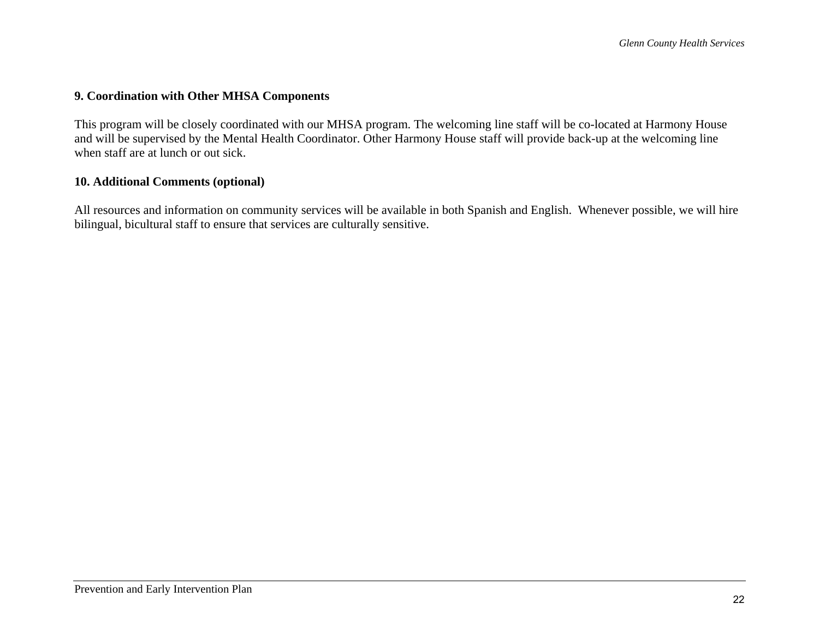#### **9. Coordination with Other MHSA Components**

This program will be closely coordinated with our MHSA program. The welcoming line staff will be co-located at Harmony House and will be supervised by the Mental Health Coordinator. Other Harmony House staff will provide back-up at the welcoming line when staff are at lunch or out sick.

#### **10. Additional Comments (optional)**

All resources and information on community services will be available in both Spanish and English. Whenever possible, we will hire bilingual, bicultural staff to ensure that services are culturally sensitive.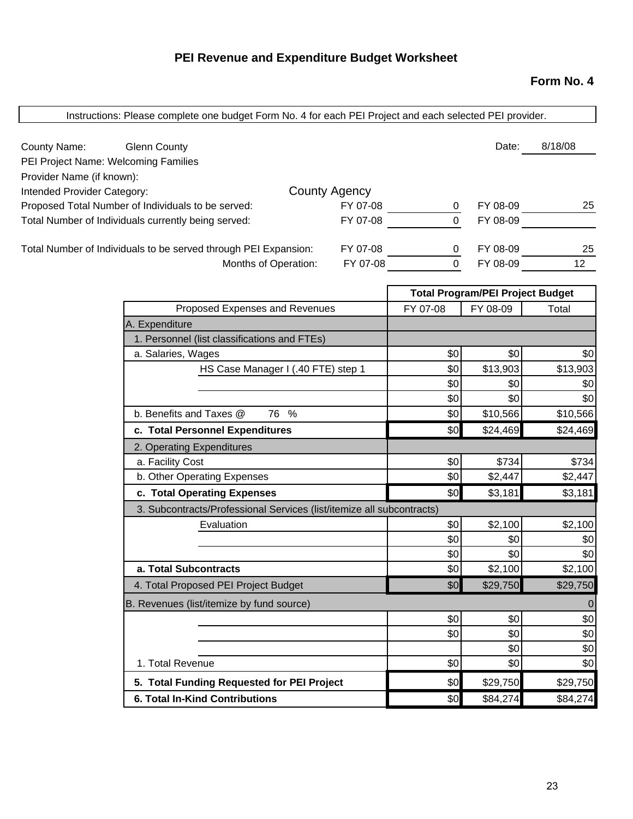# **PEI Revenue and Expenditure Budget Worksheet**

## **Form No. 4**

| Instructions: Please complete one budget Form No. 4 for each PEI Project and each selected PEI provider. |                      |                |                                         |                 |
|----------------------------------------------------------------------------------------------------------|----------------------|----------------|-----------------------------------------|-----------------|
| County Name:<br><b>Glenn County</b>                                                                      |                      |                | Date:                                   | 8/18/08         |
| PEI Project Name: Welcoming Families                                                                     |                      |                |                                         |                 |
| Provider Name (if known):                                                                                |                      |                |                                         |                 |
| Intended Provider Category:                                                                              | <b>County Agency</b> |                |                                         |                 |
| Proposed Total Number of Individuals to be served:                                                       | FY 07-08             | 0              | FY 08-09                                | 25              |
| Total Number of Individuals currently being served:                                                      | FY 07-08             | $\overline{0}$ | FY 08-09                                |                 |
| Total Number of Individuals to be served through PEI Expansion:                                          | FY 07-08             | $\mathbf{0}$   | FY 08-09                                | 25              |
| Months of Operation:                                                                                     | FY 07-08             | $\overline{0}$ | FY 08-09                                | 12 <sup>7</sup> |
|                                                                                                          |                      |                | <b>Total Program/PEI Project Budget</b> |                 |
| Proposed Expenses and Revenues                                                                           |                      | FY 07-08       | FY 08-09                                | Total           |
| A. Expenditure                                                                                           |                      |                |                                         |                 |
| 1. Personnel (list classifications and FTEs)                                                             |                      |                |                                         |                 |
| a. Salaries, Wages                                                                                       |                      | \$0            | \$0                                     | \$0             |
| HS Case Manager I (.40 FTE) step 1                                                                       |                      | \$0            | \$13,903                                | \$13,903        |
|                                                                                                          |                      | \$0            | \$0                                     | \$0             |
|                                                                                                          |                      | \$0            | \$0                                     | \$0             |
| b. Benefits and Taxes @<br>76 %                                                                          |                      | \$0            | \$10,566                                | \$10,566        |
| c. Total Personnel Expenditures                                                                          |                      | \$0            | \$24,469                                | \$24,469        |
| 2. Operating Expenditures                                                                                |                      |                |                                         |                 |
| a. Facility Cost                                                                                         |                      | \$0            | \$734                                   | \$734           |
| b. Other Operating Expenses                                                                              |                      | \$0            | \$2,447                                 | \$2,447         |
| c. Total Operating Expenses                                                                              |                      | \$0            | \$3,181                                 | \$3,181         |
| 3. Subcontracts/Professional Services (list/itemize all subcontracts)                                    |                      |                |                                         |                 |
| Evaluation                                                                                               |                      | \$0            | \$2,100                                 | \$2,100         |
|                                                                                                          |                      | \$0            | \$0                                     | \$0             |
|                                                                                                          |                      | \$0            | \$0                                     | \$0             |
| a. Total Subcontracts                                                                                    |                      | \$0            | \$2,100                                 | \$2,100         |
| 4. Total Proposed PEI Project Budget                                                                     |                      | \$0            | \$29,750                                | \$29,750        |
| B. Revenues (list/itemize by fund source)                                                                |                      |                |                                         | $\overline{0}$  |
|                                                                                                          |                      | \$0            | \$0                                     | \$0             |
|                                                                                                          |                      | \$0            | \$0                                     | \$0             |
| 1. Total Revenue                                                                                         |                      | \$0            | \$0<br>\$0                              | \$0<br>\$0      |
| 5. Total Funding Requested for PEI Project                                                               |                      | \$0            | \$29,750                                | \$29,750        |
| <b>6. Total In-Kind Contributions</b>                                                                    |                      | \$0            | \$84,274                                | \$84,274        |
|                                                                                                          |                      |                |                                         |                 |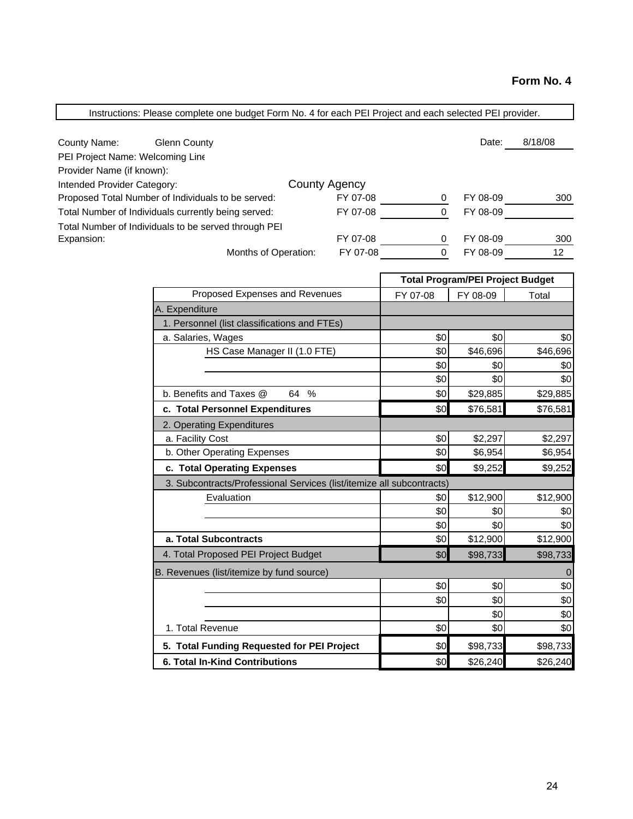| Instructions: Please complete one budget Form No. 4 for each PEI Project and each selected PEI provider. |                      |                |                                         |           |
|----------------------------------------------------------------------------------------------------------|----------------------|----------------|-----------------------------------------|-----------|
|                                                                                                          |                      |                |                                         |           |
| County Name:<br><b>Glenn County</b>                                                                      |                      |                | Date:                                   | 8/18/08   |
| PEI Project Name: Welcoming Line<br>Provider Name (if known):                                            |                      |                |                                         |           |
| Intended Provider Category:                                                                              | <b>County Agency</b> |                |                                         |           |
| Proposed Total Number of Individuals to be served:                                                       | FY 07-08             | $\overline{0}$ | FY 08-09                                | 300       |
| Total Number of Individuals currently being served:                                                      | FY 07-08             | $\mathbf 0$    | FY 08-09                                |           |
| Total Number of Individuals to be served through PEI                                                     |                      |                |                                         |           |
| Expansion:                                                                                               | FY 07-08             | $\overline{0}$ | FY 08-09                                | 300       |
| Months of Operation:                                                                                     | FY 07-08             | $\overline{0}$ | FY 08-09                                | 12        |
|                                                                                                          |                      |                |                                         |           |
|                                                                                                          |                      |                | <b>Total Program/PEI Project Budget</b> |           |
| Proposed Expenses and Revenues                                                                           |                      | FY 07-08       | FY 08-09                                | Total     |
| A. Expenditure                                                                                           |                      |                |                                         |           |
| 1. Personnel (list classifications and FTEs)                                                             |                      |                |                                         |           |
| a. Salaries, Wages                                                                                       |                      | \$0            | \$0                                     | \$0       |
| HS Case Manager II (1.0 FTE)                                                                             |                      | \$0            | \$46,696                                | \$46,696  |
|                                                                                                          |                      | \$0            | \$0                                     | \$0       |
|                                                                                                          |                      | \$0            | \$0                                     | \$0       |
| b. Benefits and Taxes @<br>64 %                                                                          |                      | \$0            | \$29,885                                | \$29,885  |
| c. Total Personnel Expenditures                                                                          |                      | \$0            | \$76,581                                | \$76,581  |
| 2. Operating Expenditures                                                                                |                      |                |                                         |           |
| a. Facility Cost                                                                                         |                      | \$0            | \$2,297                                 | \$2,297   |
| b. Other Operating Expenses                                                                              |                      | \$0            | \$6,954                                 | \$6,954   |
| c. Total Operating Expenses                                                                              |                      | \$0            | \$9,252                                 | \$9,252   |
| 3. Subcontracts/Professional Services (list/itemize all subcontracts)                                    |                      |                |                                         |           |
| Evaluation                                                                                               |                      | \$0            | \$12,900                                | \$12,900  |
|                                                                                                          |                      | \$0            | \$0                                     | \$0       |
|                                                                                                          |                      | \$0            | \$0                                     | \$0       |
| a. Total Subcontracts                                                                                    |                      | \$0            | \$12,900                                | \$12,900  |
| 4. Total Proposed PEI Project Budget                                                                     |                      | \$0            | \$98,733                                | \$98,733  |
| B. Revenues (list/itemize by fund source)                                                                |                      |                |                                         | ${\bf 0}$ |
|                                                                                                          |                      | \$0            | \$0                                     | \$0       |
|                                                                                                          |                      | \$0            | \$0                                     | \$0       |
|                                                                                                          |                      |                | \$0                                     | \$0       |
| 1. Total Revenue                                                                                         |                      | \$0            | \$0                                     | \$0       |
| 5. Total Funding Requested for PEI Project                                                               |                      | \$0            | \$98,733                                | \$98,733  |
| 6. Total In-Kind Contributions                                                                           |                      | \$0            | \$26,240                                | \$26,240  |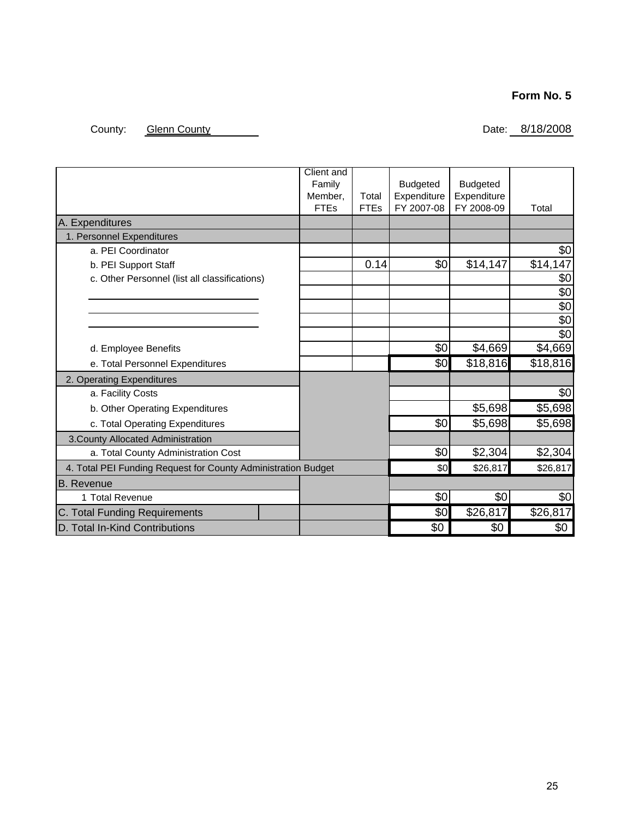## **Form No. 5**

## County: Glenn County County County County County County County County County County County County County County

|                                                               | <b>Client and</b><br>Family<br>Member.<br><b>FTEs</b> | Total<br><b>FTEs</b> | <b>Budgeted</b><br>Expenditure<br>FY 2007-08 | <b>Budgeted</b><br>Expenditure<br>FY 2008-09 | Total           |
|---------------------------------------------------------------|-------------------------------------------------------|----------------------|----------------------------------------------|----------------------------------------------|-----------------|
| A. Expenditures                                               |                                                       |                      |                                              |                                              |                 |
| 1. Personnel Expenditures                                     |                                                       |                      |                                              |                                              |                 |
| a. PEI Coordinator                                            |                                                       |                      |                                              |                                              | \$0             |
| b. PEI Support Staff                                          |                                                       | 0.14                 | \$0                                          | \$14,147                                     | \$14,147        |
| c. Other Personnel (list all classifications)                 |                                                       |                      |                                              |                                              | \$0             |
|                                                               |                                                       |                      |                                              |                                              | \$0             |
|                                                               |                                                       |                      |                                              |                                              | \$0             |
|                                                               |                                                       |                      |                                              |                                              | \$0             |
|                                                               |                                                       |                      |                                              |                                              | $\sqrt{6}$      |
| d. Employee Benefits                                          |                                                       |                      | \$0                                          | \$4,669                                      | \$4,669         |
| e. Total Personnel Expenditures                               |                                                       |                      | \$0                                          | \$18,816                                     | \$18,816        |
| 2. Operating Expenditures                                     |                                                       |                      |                                              |                                              |                 |
| a. Facility Costs                                             |                                                       |                      |                                              |                                              | $\overline{50}$ |
| b. Other Operating Expenditures                               |                                                       |                      |                                              | \$5,698                                      | \$5,698         |
| c. Total Operating Expenditures                               |                                                       |                      | \$0                                          | \$5,698                                      | \$5,698         |
| 3. County Allocated Administration                            |                                                       |                      |                                              |                                              |                 |
| a. Total County Administration Cost                           |                                                       |                      | \$0                                          | \$2,304                                      | \$2,304         |
| 4. Total PEI Funding Request for County Administration Budget |                                                       |                      | \$0                                          | \$26,817                                     | \$26,817        |
| <b>B.</b> Revenue                                             |                                                       |                      |                                              |                                              |                 |
| 1 Total Revenue                                               |                                                       |                      | \$0                                          | \$0                                          | \$0             |
| C. Total Funding Requirements                                 |                                                       |                      | \$0                                          | \$26,817                                     | \$26,817        |
| D. Total In-Kind Contributions                                |                                                       |                      | \$0                                          | \$0                                          | \$0             |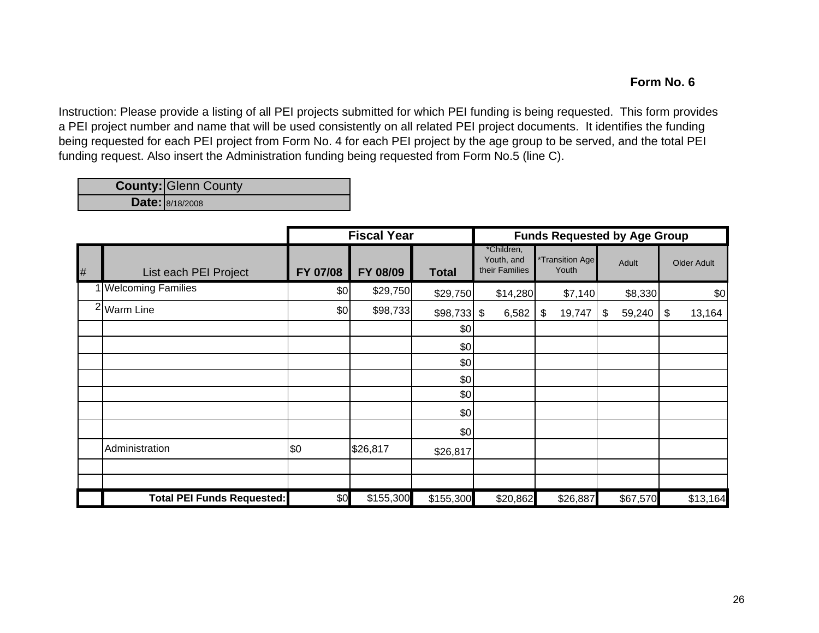## **Form No. 6**

Instruction: Please provide a listing of all PEI projects submitted for which PEI funding is being requested. This form provides a PEI project number and name that will be used consistently on all related PEI project documents. It identifies the funding being requested for each PEI project from Form No. 4 for each PEI project by the age group to be served, and the total PEI funding request. Also insert the Administration funding being requested from Form No.5 (line C).

**County: Glenn County** 

**Date:** 8/18/2008

|   |                                   | <b>Fiscal Year</b> |           |               | <b>Funds Requested by Age Group</b>        |                          |              |              |
|---|-----------------------------------|--------------------|-----------|---------------|--------------------------------------------|--------------------------|--------------|--------------|
| # | List each PEI Project             | FY 07/08           | FY 08/09  | <b>Total</b>  | *Children,<br>Youth, and<br>their Families | *Transition Age<br>Youth | Adult        | Older Adult  |
|   | 1 Welcoming Families              | \$0                | \$29,750  | \$29,750      | \$14,280                                   | \$7,140                  | \$8,330      | \$0          |
|   | <sup>2</sup> Warm Line            | \$0                | \$98,733  | $$98,733$ \\$ | 6,582                                      | \$<br>19,747             | \$<br>59,240 | 13,164<br>\$ |
|   |                                   |                    |           | \$0           |                                            |                          |              |              |
|   |                                   |                    |           | \$0           |                                            |                          |              |              |
|   |                                   |                    |           | \$0           |                                            |                          |              |              |
|   |                                   |                    |           | \$0           |                                            |                          |              |              |
|   |                                   |                    |           | \$0           |                                            |                          |              |              |
|   |                                   |                    |           | \$0           |                                            |                          |              |              |
|   |                                   |                    |           | \$0           |                                            |                          |              |              |
|   | Administration                    | \$0                | \$26,817  | \$26,817      |                                            |                          |              |              |
|   |                                   |                    |           |               |                                            |                          |              |              |
|   | <b>Total PEI Funds Requested:</b> | \$0                | \$155,300 | \$155,300     | \$20,862                                   | \$26,887                 | \$67,570     | \$13,164     |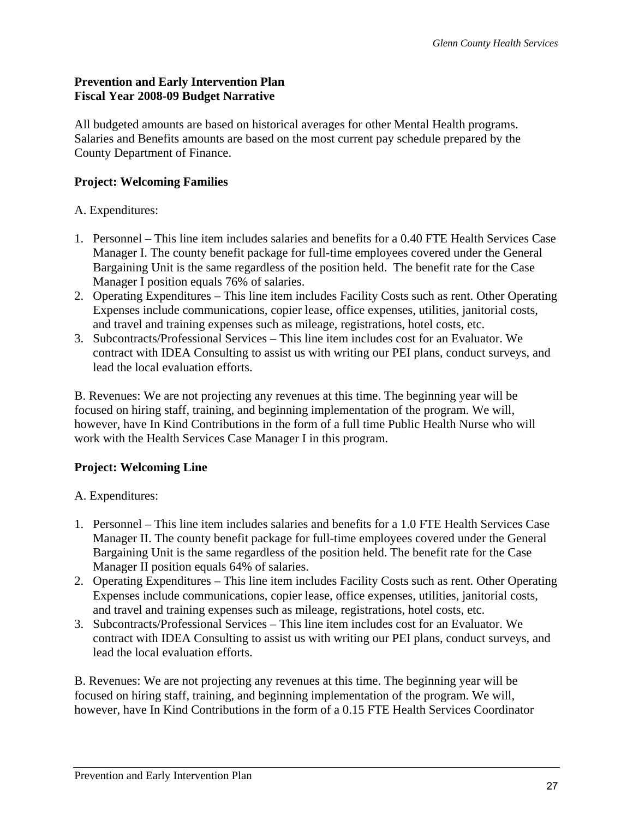## **Prevention and Early Intervention Plan Fiscal Year 2008-09 Budget Narrative**

All budgeted amounts are based on historical averages for other Mental Health programs. Salaries and Benefits amounts are based on the most current pay schedule prepared by the County Department of Finance.

## **Project: Welcoming Families**

## A. Expenditures:

- 1. Personnel This line item includes salaries and benefits for a 0.40 FTE Health Services Case Manager I. The county benefit package for full-time employees covered under the General Bargaining Unit is the same regardless of the position held. The benefit rate for the Case Manager I position equals 76% of salaries.
- 2. Operating Expenditures This line item includes Facility Costs such as rent. Other Operating Expenses include communications, copier lease, office expenses, utilities, janitorial costs, and travel and training expenses such as mileage, registrations, hotel costs, etc.
- 3. Subcontracts/Professional Services This line item includes cost for an Evaluator. We contract with IDEA Consulting to assist us with writing our PEI plans, conduct surveys, and lead the local evaluation efforts.

B. Revenues: We are not projecting any revenues at this time. The beginning year will be focused on hiring staff, training, and beginning implementation of the program. We will, however, have In Kind Contributions in the form of a full time Public Health Nurse who will work with the Health Services Case Manager I in this program.

## **Project: Welcoming Line**

## A. Expenditures:

- 1. Personnel This line item includes salaries and benefits for a 1.0 FTE Health Services Case Manager II. The county benefit package for full-time employees covered under the General Bargaining Unit is the same regardless of the position held. The benefit rate for the Case Manager II position equals 64% of salaries.
- 2. Operating Expenditures This line item includes Facility Costs such as rent. Other Operating Expenses include communications, copier lease, office expenses, utilities, janitorial costs, and travel and training expenses such as mileage, registrations, hotel costs, etc.
- 3. Subcontracts/Professional Services This line item includes cost for an Evaluator. We contract with IDEA Consulting to assist us with writing our PEI plans, conduct surveys, and lead the local evaluation efforts.

B. Revenues: We are not projecting any revenues at this time. The beginning year will be focused on hiring staff, training, and beginning implementation of the program. We will, however, have In Kind Contributions in the form of a 0.15 FTE Health Services Coordinator